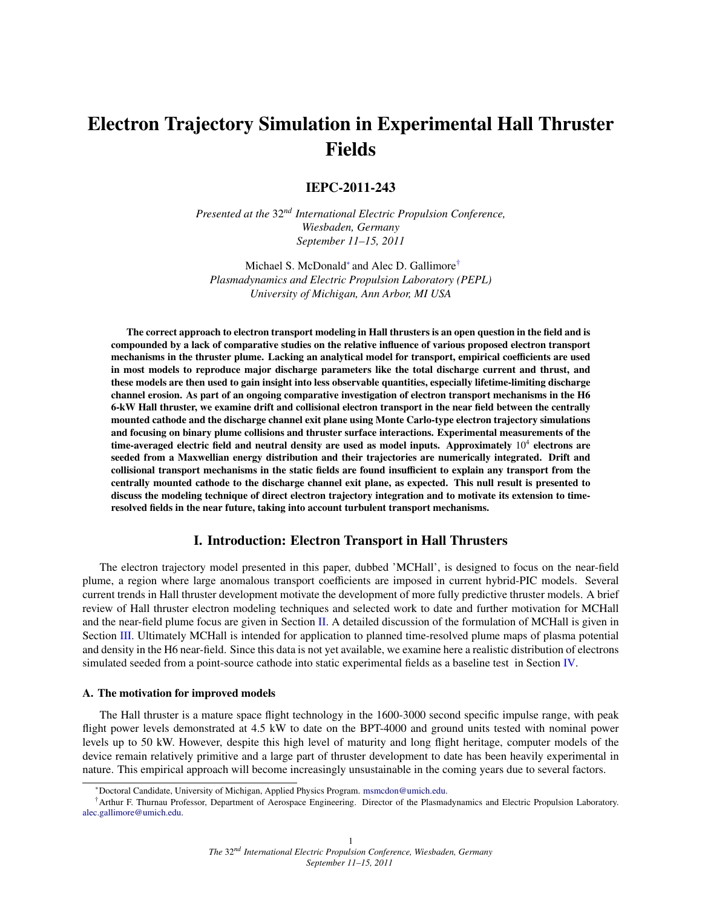# Electron Trajectory Simulation in Experimental Hall Thruster Fields

# IEPC-2011-243

*Presented at the* 32*nd International Electric Propulsion Conference, Wiesbaden, Germany September 11–15, 2011*

Michael S. McDonald<sup>∗</sup> and Alec D. Gallimore<sup>†</sup> *Plasmadynamics and Electric Propulsion Laboratory (PEPL) University of Michigan, Ann Arbor, MI USA*

The correct approach to electron transport modeling in Hall thrusters is an open question in the field and is compounded by a lack of comparative studies on the relative influence of various proposed electron transport mechanisms in the thruster plume. Lacking an analytical model for transport, empirical coefficients are used in most models to reproduce major discharge parameters like the total discharge current and thrust, and these models are then used to gain insight into less observable quantities, especially lifetime-limiting discharge channel erosion. As part of an ongoing comparative investigation of electron transport mechanisms in the H6 6-kW Hall thruster, we examine drift and collisional electron transport in the near field between the centrally mounted cathode and the discharge channel exit plane using Monte Carlo-type electron trajectory simulations and focusing on binary plume collisions and thruster surface interactions. Experimental measurements of the time-averaged electric field and neutral density are used as model inputs. Approximately  $10^4$  electrons are seeded from a Maxwellian energy distribution and their trajectories are numerically integrated. Drift and collisional transport mechanisms in the static fields are found insufficient to explain any transport from the centrally mounted cathode to the discharge channel exit plane, as expected. This null result is presented to discuss the modeling technique of direct electron trajectory integration and to motivate its extension to timeresolved fields in the near future, taking into account turbulent transport mechanisms.

## I. Introduction: Electron Transport in Hall Thrusters

The electron trajectory model presented in this paper, dubbed 'MCHall', is designed to focus on the near-field plume, a region where large anomalous transport coefficients are imposed in current hybrid-PIC models. Several current trends in Hall thruster development motivate the development of more fully predictive thruster models. A brief review of Hall thruster electron modeling techniques and selected work to date and further motivation for MCHall and the near-field plume focus are given in Section [II.](#page-2-0) A detailed discussion of the formulation of MCHall is given in Section [III.](#page-4-0) Ultimately MCHall is intended for application to planned time-resolved plume maps of plasma potential and density in the H6 near-field. Since this data is not yet available, we examine here a realistic distribution of electrons simulated seeded from a point-source cathode into static experimental fields as a baseline test in Section [IV.](#page-9-0)

### A. The motivation for improved models

The Hall thruster is a mature space flight technology in the 1600-3000 second specific impulse range, with peak flight power levels demonstrated at 4.5 kW to date on the BPT-4000 and ground units tested with nominal power levels up to 50 kW. However, despite this high level of maturity and long flight heritage, computer models of the device remain relatively primitive and a large part of thruster development to date has been heavily experimental in nature. This empirical approach will become increasingly unsustainable in the coming years due to several factors.

<sup>∗</sup>Doctoral Candidate, University of Michigan, Applied Physics Program. [msmcdon@umich.edu.](mailto:msmcdon@umich.edu)

<sup>†</sup>Arthur F. Thurnau Professor, Department of Aerospace Engineering. Director of the Plasmadynamics and Electric Propulsion Laboratory. [alec.gallimore@umich.edu.](mailto:alec.gallimore@umich.edu)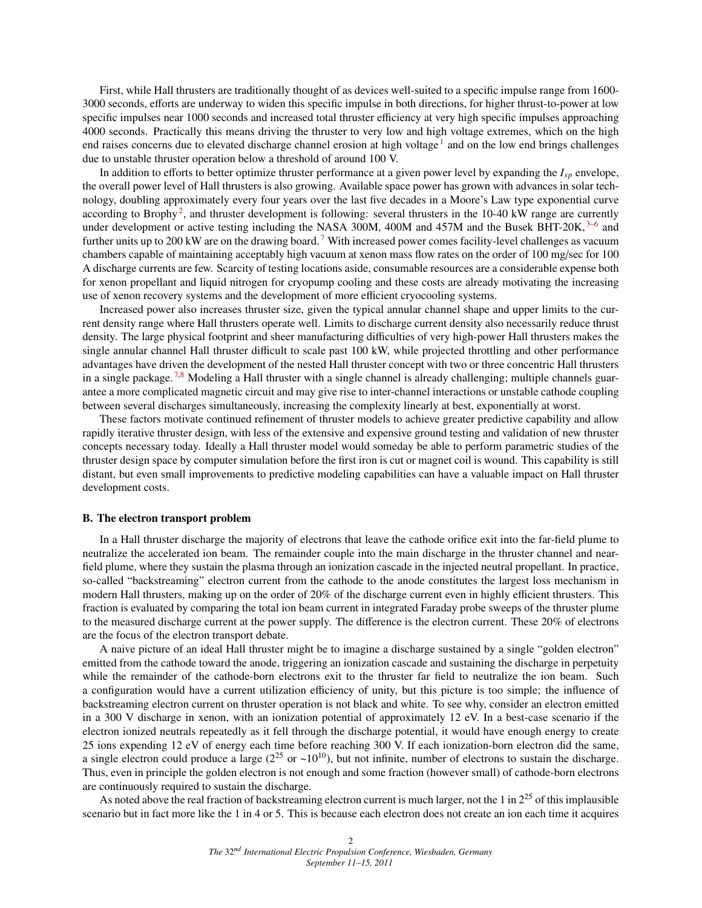First, while Hall thrusters are traditionally thought of as devices well-suited to a specific impulse range from 1600- 3000 seconds, efforts are underway to widen this specific impulse in both directions, for higher thrust-to-power at low specific impulses near 1000 seconds and increased total thruster efficiency at very high specific impulses approaching 4000 seconds. Practically this means driving the thruster to very low and high voltage extremes, which on the high end raises concerns due to elevated discharge channel erosion at high voltage<sup>[1](#page-12-0)</sup> and on the low end brings challenges due to unstable thruster operation below a threshold of around 100 V.

In addition to efforts to better optimize thruster performance at a given power level by expanding the *Isp* envelope, the overall power level of Hall thrusters is also growing. Available space power has grown with advances in solar technology, doubling approximately every four years over the last five decades in a Moore's Law type exponential curve according to Brophy<sup>[2](#page-12-1)</sup>, and thruster development is following: several thrusters in the 10-40 kW range are currently under development or active testing including the NASA [3](#page-12-2)00M, 400M and 457M and the Busek BHT-20K, 3-6 and further units up to 200 kW are on the drawing board.<sup>[7](#page-12-4)</sup> With increased power comes facility-level challenges as vacuum chambers capable of maintaining acceptably high vacuum at xenon mass flow rates on the order of 100 mg/sec for 100 A discharge currents are few. Scarcity of testing locations aside, consumable resources are a considerable expense both for xenon propellant and liquid nitrogen for cryopump cooling and these costs are already motivating the increasing use of xenon recovery systems and the development of more efficient cryocooling systems.

Increased power also increases thruster size, given the typical annular channel shape and upper limits to the current density range where Hall thrusters operate well. Limits to discharge current density also necessarily reduce thrust density. The large physical footprint and sheer manufacturing difficulties of very high-power Hall thrusters makes the single annular channel Hall thruster difficult to scale past 100 kW, while projected throttling and other performance advantages have driven the development of the nested Hall thruster concept with two or three concentric Hall thrusters in a single package.<sup>[7](#page-12-4)[,8](#page-12-5)</sup> Modeling a Hall thruster with a single channel is already challenging; multiple channels guarantee a more complicated magnetic circuit and may give rise to inter-channel interactions or unstable cathode coupling between several discharges simultaneously, increasing the complexity linearly at best, exponentially at worst.

These factors motivate continued refinement of thruster models to achieve greater predictive capability and allow rapidly iterative thruster design, with less of the extensive and expensive ground testing and validation of new thruster concepts necessary today. Ideally a Hall thruster model would someday be able to perform parametric studies of the thruster design space by computer simulation before the first iron is cut or magnet coil is wound. This capability is still distant, but even small improvements to predictive modeling capabilities can have a valuable impact on Hall thruster development costs.

#### B. The electron transport problem

In a Hall thruster discharge the majority of electrons that leave the cathode orifice exit into the far-field plume to neutralize the accelerated ion beam. The remainder couple into the main discharge in the thruster channel and nearfield plume, where they sustain the plasma through an ionization cascade in the injected neutral propellant. In practice, so-called "backstreaming" electron current from the cathode to the anode constitutes the largest loss mechanism in modern Hall thrusters, making up on the order of 20% of the discharge current even in highly efficient thrusters. This fraction is evaluated by comparing the total ion beam current in integrated Faraday probe sweeps of the thruster plume to the measured discharge current at the power supply. The difference is the electron current. These 20% of electrons are the focus of the electron transport debate.

A naive picture of an ideal Hall thruster might be to imagine a discharge sustained by a single "golden electron" emitted from the cathode toward the anode, triggering an ionization cascade and sustaining the discharge in perpetuity while the remainder of the cathode-born electrons exit to the thruster far field to neutralize the ion beam. Such a configuration would have a current utilization efficiency of unity, but this picture is too simple; the influence of backstreaming electron current on thruster operation is not black and white. To see why, consider an electron emitted in a 300 V discharge in xenon, with an ionization potential of approximately 12 eV. In a best-case scenario if the electron ionized neutrals repeatedly as it fell through the discharge potential, it would have enough energy to create 25 ions expending 12 eV of energy each time before reaching 300 V. If each ionization-born electron did the same, a single electron could produce a large  $(2^{25}$  or  $\sim 10^{10}$ ), but not infinite, number of electrons to sustain the discharge. Thus, even in principle the golden electron is not enough and some fraction (however small) of cathode-born electrons are continuously required to sustain the discharge.

As noted above the real fraction of backstreaming electron current is much larger, not the 1 in  $2^{25}$  of this implausible scenario but in fact more like the 1 in 4 or 5. This is because each electron does not create an ion each time it acquires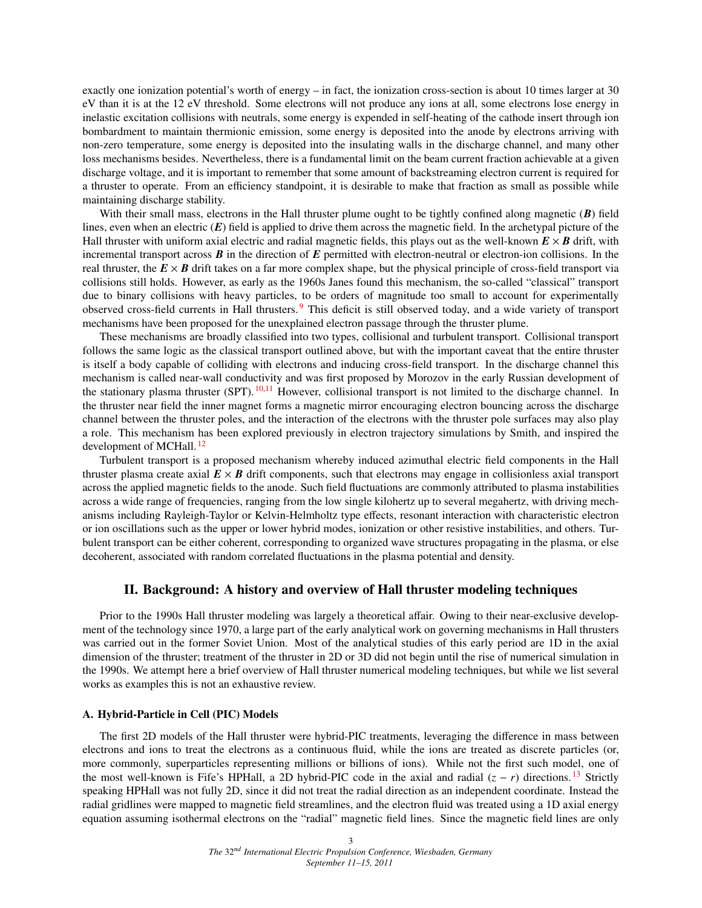exactly one ionization potential's worth of energy – in fact, the ionization cross-section is about 10 times larger at 30 eV than it is at the 12 eV threshold. Some electrons will not produce any ions at all, some electrons lose energy in inelastic excitation collisions with neutrals, some energy is expended in self-heating of the cathode insert through ion bombardment to maintain thermionic emission, some energy is deposited into the anode by electrons arriving with non-zero temperature, some energy is deposited into the insulating walls in the discharge channel, and many other loss mechanisms besides. Nevertheless, there is a fundamental limit on the beam current fraction achievable at a given discharge voltage, and it is important to remember that some amount of backstreaming electron current is required for a thruster to operate. From an efficiency standpoint, it is desirable to make that fraction as small as possible while maintaining discharge stability.

With their small mass, electrons in the Hall thruster plume ought to be tightly confined along magnetic (*B*) field lines, even when an electric (*E*) field is applied to drive them across the magnetic field. In the archetypal picture of the Hall thruster with uniform axial electric and radial magnetic fields, this plays out as the well-known  $E \times B$  drift, with incremental transport across *B* in the direction of *E* permitted with electron-neutral or electron-ion collisions. In the real thruster, the  $E \times B$  drift takes on a far more complex shape, but the physical principle of cross-field transport via collisions still holds. However, as early as the 1960s Janes found this mechanism, the so-called "classical" transport due to binary collisions with heavy particles, to be orders of magnitude too small to account for experimentally observed cross-field currents in Hall thrusters. [9](#page-12-6) This deficit is still observed today, and a wide variety of transport mechanisms have been proposed for the unexplained electron passage through the thruster plume.

These mechanisms are broadly classified into two types, collisional and turbulent transport. Collisional transport follows the same logic as the classical transport outlined above, but with the important caveat that the entire thruster is itself a body capable of colliding with electrons and inducing cross-field transport. In the discharge channel this mechanism is called near-wall conductivity and was first proposed by Morozov in the early Russian development of the stationary plasma thruster (SPT).  $^{10,11}$  $^{10,11}$  $^{10,11}$  $^{10,11}$  However, collisional transport is not limited to the discharge channel. In the thruster near field the inner magnet forms a magnetic mirror encouraging electron bouncing across the discharge channel between the thruster poles, and the interaction of the electrons with the thruster pole surfaces may also play a role. This mechanism has been explored previously in electron trajectory simulations by Smith, and inspired the development of MCHall.<sup>[12](#page-12-9)</sup>

Turbulent transport is a proposed mechanism whereby induced azimuthal electric field components in the Hall thruster plasma create axial  $E \times B$  drift components, such that electrons may engage in collisionless axial transport across the applied magnetic fields to the anode. Such field fluctuations are commonly attributed to plasma instabilities across a wide range of frequencies, ranging from the low single kilohertz up to several megahertz, with driving mechanisms including Rayleigh-Taylor or Kelvin-Helmholtz type effects, resonant interaction with characteristic electron or ion oscillations such as the upper or lower hybrid modes, ionization or other resistive instabilities, and others. Turbulent transport can be either coherent, corresponding to organized wave structures propagating in the plasma, or else decoherent, associated with random correlated fluctuations in the plasma potential and density.

## II. Background: A history and overview of Hall thruster modeling techniques

<span id="page-2-0"></span>Prior to the 1990s Hall thruster modeling was largely a theoretical affair. Owing to their near-exclusive development of the technology since 1970, a large part of the early analytical work on governing mechanisms in Hall thrusters was carried out in the former Soviet Union. Most of the analytical studies of this early period are 1D in the axial dimension of the thruster; treatment of the thruster in 2D or 3D did not begin until the rise of numerical simulation in the 1990s. We attempt here a brief overview of Hall thruster numerical modeling techniques, but while we list several works as examples this is not an exhaustive review.

#### A. Hybrid-Particle in Cell (PIC) Models

The first 2D models of the Hall thruster were hybrid-PIC treatments, leveraging the difference in mass between electrons and ions to treat the electrons as a continuous fluid, while the ions are treated as discrete particles (or, more commonly, superparticles representing millions or billions of ions). While not the first such model, one of the most well-known is Fife's HPHall, a 2D hybrid-PIC code in the axial and radial (*z* − *r*) directions. [13](#page-12-10) Strictly speaking HPHall was not fully 2D, since it did not treat the radial direction as an independent coordinate. Instead the radial gridlines were mapped to magnetic field streamlines, and the electron fluid was treated using a 1D axial energy equation assuming isothermal electrons on the "radial" magnetic field lines. Since the magnetic field lines are only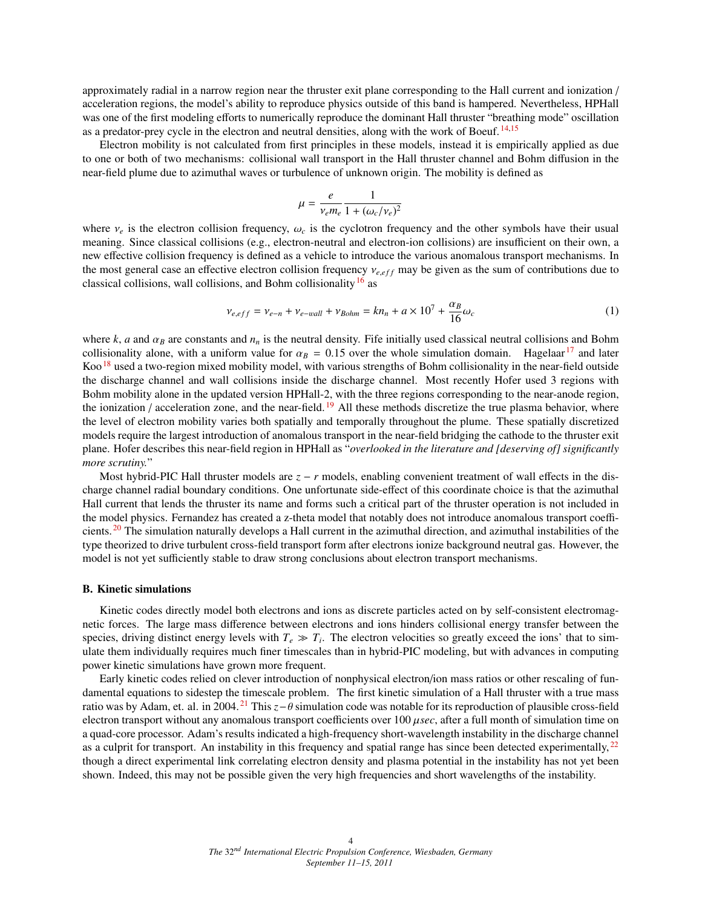approximately radial in a narrow region near the thruster exit plane corresponding to the Hall current and ionization / acceleration regions, the model's ability to reproduce physics outside of this band is hampered. Nevertheless, HPHall was one of the first modeling efforts to numerically reproduce the dominant Hall thruster "breathing mode" oscillation as a predator-prey cycle in the electron and neutral densities, along with the work of Boeuf. [14,](#page-12-11)[15](#page-12-12)

Electron mobility is not calculated from first principles in these models, instead it is empirically applied as due to one or both of two mechanisms: collisional wall transport in the Hall thruster channel and Bohm diffusion in the near-field plume due to azimuthal waves or turbulence of unknown origin. The mobility is defined as

$$
\mu = \frac{e}{v_e m_e} \frac{1}{1 + (\omega_c/v_e)^2}
$$

where  $v_e$  is the electron collision frequency,  $\omega_c$  is the cyclotron frequency and the other symbols have their usual meaning. Since classical collisions (e.g. electron-peutral and electron-ion collisions) are insuffici meaning. Since classical collisions (e.g., electron-neutral and electron-ion collisions) are insufficient on their own, a new effective collision frequency is defined as a vehicle to introduce the various anomalous transport mechanisms. In the most general case an effective electron collision frequency  $ν_{e,eff}$  may be given as the sum of contributions due to classical collisions, wall collisions, and Bohm collisionality<sup>[16](#page-12-13)</sup> as

$$
\nu_{e,eff} = \nu_{e-n} + \nu_{e-wall} + \nu_{Bohm} = kn_n + a \times 10^7 + \frac{\alpha_B}{16} \omega_c \tag{1}
$$

where  $k$ ,  $a$  and  $\alpha_B$  are constants and  $n_n$  is the neutral density. Fife initially used classical neutral collisions and Bohm collisionality alone, with a uniform value for  $\alpha_B = 0.15$  over the whole simulation domain. Hagelaar<sup>[17](#page-12-14)</sup> and later Koo<sup>[18](#page-12-15)</sup> used a two-region mixed mobility model, with various strengths of Bohm collisionality in the near-field outside the discharge channel and wall collisions inside the discharge channel. Most recently Hofer used 3 regions with Bohm mobility alone in the updated version HPHall-2, with the three regions corresponding to the near-anode region, the ionization / acceleration zone, and the near-field.  $19$  All these methods discretize the true plasma behavior, where the level of electron mobility varies both spatially and temporally throughout the plume. These spatially discretized models require the largest introduction of anomalous transport in the near-field bridging the cathode to the thruster exit plane. Hofer describes this near-field region in HPHall as "*overlooked in the literature and [deserving of] significantly more scrutiny.*"

Most hybrid-PIC Hall thruster models are  $z - r$  models, enabling convenient treatment of wall effects in the discharge channel radial boundary conditions. One unfortunate side-effect of this coordinate choice is that the azimuthal Hall current that lends the thruster its name and forms such a critical part of the thruster operation is not included in the model physics. Fernandez has created a z-theta model that notably does not introduce anomalous transport coefficients. [20](#page-12-17) The simulation naturally develops a Hall current in the azimuthal direction, and azimuthal instabilities of the type theorized to drive turbulent cross-field transport form after electrons ionize background neutral gas. However, the model is not yet sufficiently stable to draw strong conclusions about electron transport mechanisms.

#### B. Kinetic simulations

Kinetic codes directly model both electrons and ions as discrete particles acted on by self-consistent electromagnetic forces. The large mass difference between electrons and ions hinders collisional energy transfer between the species, driving distinct energy levels with  $T_e \gg T_i$ . The electron velocities so greatly exceed the ions' that to simulate them individually requires much finer timescales than in hybrid-PIC modeling, but with advances in computing power kinetic simulations have grown more frequent.

Early kinetic codes relied on clever introduction of nonphysical electron/ion mass ratios or other rescaling of fundamental equations to sidestep the timescale problem. The first kinetic simulation of a Hall thruster with a true mass ratio was by Adam, et. al. in 2004. [21](#page-12-18) This *<sup>z</sup>*−θ simulation code was notable for its reproduction of plausible cross-field electron transport without any anomalous transport coefficients over 100 µ*sec*, after a full month of simulation time on a quad-core processor. Adam's results indicated a high-frequency short-wavelength instability in the discharge channel as a culprit for transport. An instability in this frequency and spatial range has since been detected experimentally, <sup>[22](#page-12-19)</sup> though a direct experimental link correlating electron density and plasma potential in the instability has not yet been shown. Indeed, this may not be possible given the very high frequencies and short wavelengths of the instability.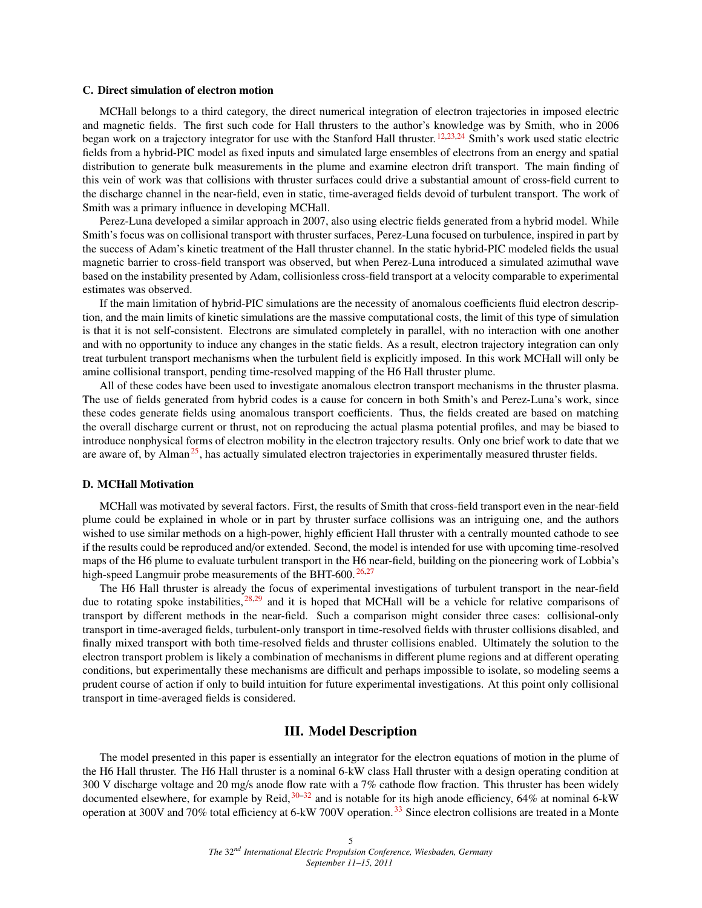#### C. Direct simulation of electron motion

MCHall belongs to a third category, the direct numerical integration of electron trajectories in imposed electric and magnetic fields. The first such code for Hall thrusters to the author's knowledge was by Smith, who in 2006 began work on a trajectory integrator for use with the Stanford Hall thruster. <sup>[12](#page-12-9)[,23,](#page-12-20)[24](#page-13-0)</sup> Smith's work used static electric fields from a hybrid-PIC model as fixed inputs and simulated large ensembles of electrons from an energy and spatial distribution to generate bulk measurements in the plume and examine electron drift transport. The main finding of this vein of work was that collisions with thruster surfaces could drive a substantial amount of cross-field current to the discharge channel in the near-field, even in static, time-averaged fields devoid of turbulent transport. The work of Smith was a primary influence in developing MCHall.

Perez-Luna developed a similar approach in 2007, also using electric fields generated from a hybrid model. While Smith's focus was on collisional transport with thruster surfaces, Perez-Luna focused on turbulence, inspired in part by the success of Adam's kinetic treatment of the Hall thruster channel. In the static hybrid-PIC modeled fields the usual magnetic barrier to cross-field transport was observed, but when Perez-Luna introduced a simulated azimuthal wave based on the instability presented by Adam, collisionless cross-field transport at a velocity comparable to experimental estimates was observed.

If the main limitation of hybrid-PIC simulations are the necessity of anomalous coefficients fluid electron description, and the main limits of kinetic simulations are the massive computational costs, the limit of this type of simulation is that it is not self-consistent. Electrons are simulated completely in parallel, with no interaction with one another and with no opportunity to induce any changes in the static fields. As a result, electron trajectory integration can only treat turbulent transport mechanisms when the turbulent field is explicitly imposed. In this work MCHall will only be amine collisional transport, pending time-resolved mapping of the H6 Hall thruster plume.

All of these codes have been used to investigate anomalous electron transport mechanisms in the thruster plasma. The use of fields generated from hybrid codes is a cause for concern in both Smith's and Perez-Luna's work, since these codes generate fields using anomalous transport coefficients. Thus, the fields created are based on matching the overall discharge current or thrust, not on reproducing the actual plasma potential profiles, and may be biased to introduce nonphysical forms of electron mobility in the electron trajectory results. Only one brief work to date that we are aware of, by Alman<sup>[25](#page-13-1)</sup>, has actually simulated electron trajectories in experimentally measured thruster fields.

### D. MCHall Motivation

MCHall was motivated by several factors. First, the results of Smith that cross-field transport even in the near-field plume could be explained in whole or in part by thruster surface collisions was an intriguing one, and the authors wished to use similar methods on a high-power, highly efficient Hall thruster with a centrally mounted cathode to see if the results could be reproduced and/or extended. Second, the model is intended for use with upcoming time-resolved maps of the H6 plume to evaluate turbulent transport in the H6 near-field, building on the pioneering work of Lobbia's high-speed Langmuir probe measurements of the BHT-600.<sup>[26,](#page-13-2)[27](#page-13-3)</sup>

The H6 Hall thruster is already the focus of experimental investigations of turbulent transport in the near-field due to rotating spoke instabilities,  $28,29$  $28,29$  and it is hoped that MCHall will be a vehicle for relative comparisons of transport by different methods in the near-field. Such a comparison might consider three cases: collisional-only transport in time-averaged fields, turbulent-only transport in time-resolved fields with thruster collisions disabled, and finally mixed transport with both time-resolved fields and thruster collisions enabled. Ultimately the solution to the electron transport problem is likely a combination of mechanisms in different plume regions and at different operating conditions, but experimentally these mechanisms are difficult and perhaps impossible to isolate, so modeling seems a prudent course of action if only to build intuition for future experimental investigations. At this point only collisional transport in time-averaged fields is considered.

## III. Model Description

<span id="page-4-0"></span>The model presented in this paper is essentially an integrator for the electron equations of motion in the plume of the H6 Hall thruster. The H6 Hall thruster is a nominal 6-kW class Hall thruster with a design operating condition at 300 V discharge voltage and 20 mg/s anode flow rate with a 7% cathode flow fraction. This thruster has been widely documented elsewhere, for example by Reid,  $30-32$  $30-32$  and is notable for its high anode efficiency, 64% at nominal 6-kW operation at 300V and 70% total efficiency at 6-kW 700V operation. [33](#page-13-8) Since electron collisions are treated in a Monte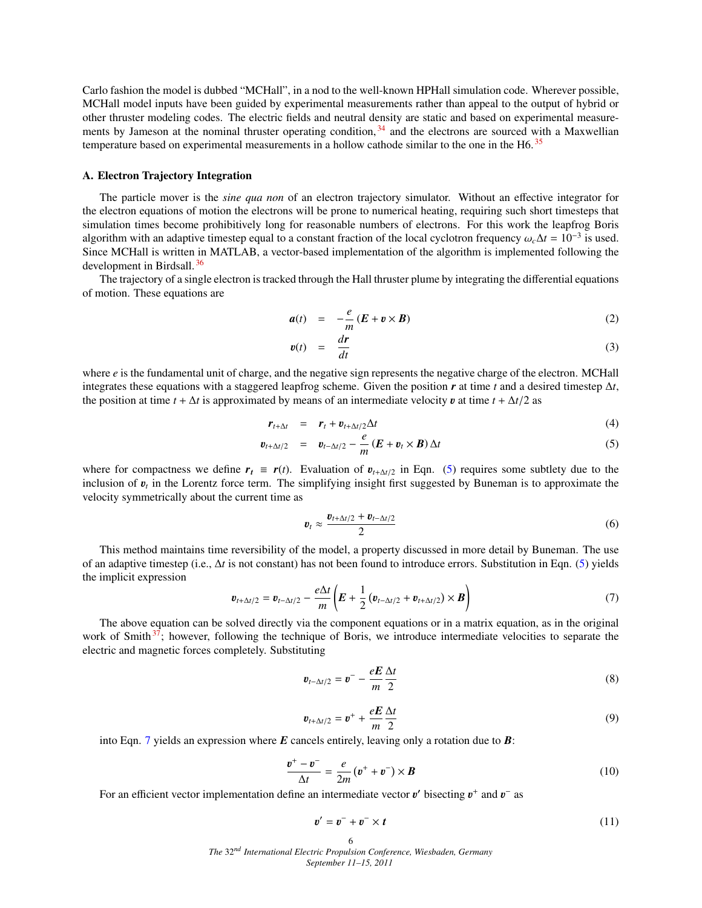Carlo fashion the model is dubbed "MCHall", in a nod to the well-known HPHall simulation code. Wherever possible, MCHall model inputs have been guided by experimental measurements rather than appeal to the output of hybrid or other thruster modeling codes. The electric fields and neutral density are static and based on experimental measurements by Jameson at the nominal thruster operating condition,  $34$  and the electrons are sourced with a Maxwellian temperature based on experimental measurements in a hollow cathode similar to the one in the H6.<sup>[35](#page-13-10)</sup>

### A. Electron Trajectory Integration

The particle mover is the *sine qua non* of an electron trajectory simulator. Without an effective integrator for the electron equations of motion the electrons will be prone to numerical heating, requiring such short timesteps that simulation times become prohibitively long for reasonable numbers of electrons. For this work the leapfrog Boris algorithm with an adaptive timestep equal to a constant fraction of the local cyclotron frequency  $\omega_c \Delta t = 10^{-3}$  is used.<br>Since MCHall is written in MATLAB, a vector-based implementation of the algorithm is implemented f Since MCHall is written in MATLAB, a vector-based implementation of the algorithm is implemented following the development in Birdsall. [36](#page-13-11)

The trajectory of a single electron is tracked through the Hall thruster plume by integrating the differential equations of motion. These equations are

$$
a(t) = -\frac{e}{m}(E + v \times B) \tag{2}
$$

$$
v(t) = \frac{dr}{dt} \tag{3}
$$

where *e* is the fundamental unit of charge, and the negative sign represents the negative charge of the electron. MCHall integrates these equations with a staggered leapfrog scheme. Given the position *r* at time *t* and a desired timestep ∆*t*, the position at time  $t + \Delta t$  is approximated by means of an intermediate velocity **v** at time  $t + \Delta t/2$  as

<span id="page-5-0"></span>
$$
\mathbf{r}_{t+\Delta t} = \mathbf{r}_t + \mathbf{v}_{t+\Delta t/2} \Delta t \tag{4}
$$

$$
\boldsymbol{v}_{t+\Delta t/2} = \boldsymbol{v}_{t-\Delta t/2} - \frac{e}{m} \left( \boldsymbol{E} + \boldsymbol{v}_t \times \boldsymbol{B} \right) \Delta t \tag{5}
$$

where for compactness we define  $r_t \equiv r(t)$ . Evaluation of  $v_{t+\Delta t/2}$  in Eqn. [\(5\)](#page-5-0) requires some subtlety due to the inclusion of  $v_t$  in the Lorentz force term. The simplifying insight first suggested by Buneman is to approximate the velocity symmetrically about the current time as velocity symmetrically about the current time as

$$
\boldsymbol{v}_t \approx \frac{\boldsymbol{v}_{t+\Delta t/2} + \boldsymbol{v}_{t-\Delta t/2}}{2} \tag{6}
$$

This method maintains time reversibility of the model, a property discussed in more detail by Buneman. The use of an adaptive timestep (i.e., ∆*t* is not constant) has not been found to introduce errors. Substitution in Eqn. [\(5\)](#page-5-0) yields the implicit expression

<span id="page-5-1"></span>
$$
\boldsymbol{v}_{t+\Delta t/2} = \boldsymbol{v}_{t-\Delta t/2} - \frac{e\Delta t}{m} \left( \boldsymbol{E} + \frac{1}{2} \left( \boldsymbol{v}_{t-\Delta t/2} + \boldsymbol{v}_{t+\Delta t/2} \right) \times \boldsymbol{B} \right)
$$
(7)

The above equation can be solved directly via the component equations or in a matrix equation, as in the original work of Smith<sup>[37](#page-13-12)</sup>; however, following the technique of Boris, we introduce intermediate velocities to separate the electric and magnetic forces completely. Substituting

$$
\boldsymbol{v}_{t-\Delta t/2} = \boldsymbol{v}^- - \frac{e\boldsymbol{E}}{m} \frac{\Delta t}{2} \tag{8}
$$

$$
\boldsymbol{v}_{t+\Delta t/2} = \boldsymbol{v}^+ + \frac{e\boldsymbol{E}}{m} \frac{\Delta t}{2} \tag{9}
$$

into Eqn. [7](#page-5-1) yields an expression where *E* cancels entirely, leaving only a rotation due to *B*:

$$
\frac{\boldsymbol{v}^+ - \boldsymbol{v}^-}{\Delta t} = \frac{e}{2m} \left( \boldsymbol{v}^+ + \boldsymbol{v}^- \right) \times \boldsymbol{B}
$$
\n(10)

For an efficient vector implementation define an intermediate vector  $v'$  bisecting  $v^+$  and  $v^-$  as

$$
v' = v^- + v^- \times t \tag{11}
$$

6 *The* 32*nd International Electric Propulsion Conference, Wiesbaden, Germany September 11–15, 2011*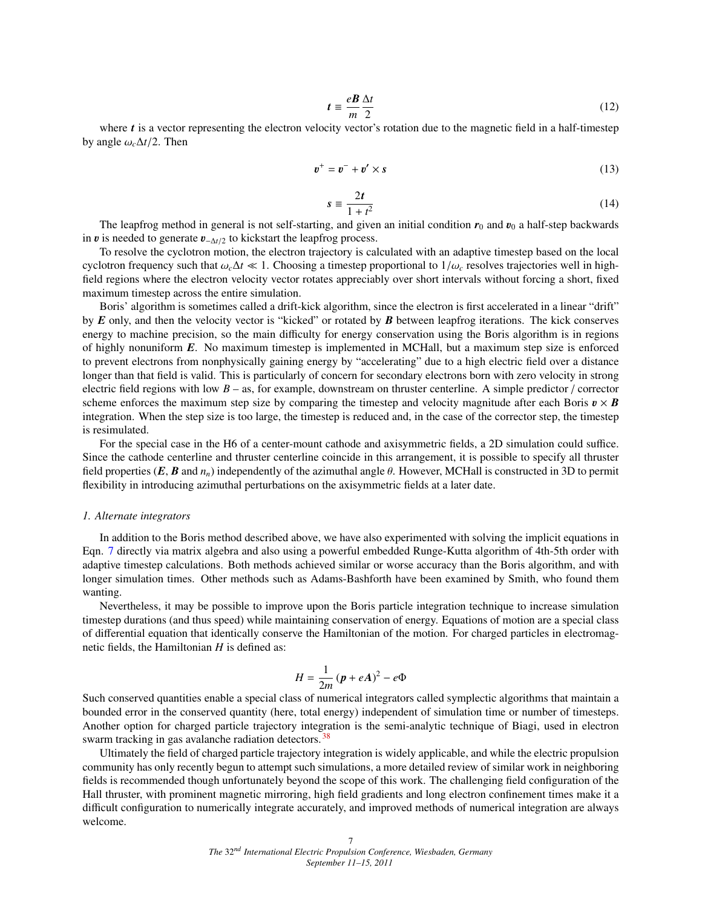$$
t \equiv \frac{e}{m} \frac{\Delta t}{2} \tag{12}
$$

where *t* is a vector representing the electron velocity vector's rotation due to the magnetic field in a half-timestep by angle  $\omega_c \Delta t/2$ . Then

$$
\boldsymbol{v}^+ = \boldsymbol{v}^- + \boldsymbol{v}' \times \boldsymbol{s} \tag{13}
$$

$$
s \equiv \frac{2t}{1+t^2} \tag{14}
$$

The leapfrog method in general is not self-starting, and given an initial condition  $r_0$  and  $v_0$  a half-step backwards in  $\mathbf{v}$  is needed to generate  $\mathbf{v}_{-\Delta t/2}$  to kickstart the leapfrog process.

To resolve the cyclotron motion, the electron trajectory is calculated with an adaptive timestep based on the local cyclotron frequency such that  $\omega_c \Delta t \ll 1$ . Choosing a timestep proportional to  $1/\omega_c$  resolves trajectories well in highfield regions where the electron velocity vector rotates appreciably over short intervals without forcing a short, fixed maximum timestep across the entire simulation.

Boris' algorithm is sometimes called a drift-kick algorithm, since the electron is first accelerated in a linear "drift" by *E* only, and then the velocity vector is "kicked" or rotated by *B* between leapfrog iterations. The kick conserves energy to machine precision, so the main difficulty for energy conservation using the Boris algorithm is in regions of highly nonuniform *E*. No maximum timestep is implemented in MCHall, but a maximum step size is enforced to prevent electrons from nonphysically gaining energy by "accelerating" due to a high electric field over a distance longer than that field is valid. This is particularly of concern for secondary electrons born with zero velocity in strong electric field regions with low *B* – as, for example, downstream on thruster centerline. A simple predictor / corrector scheme enforces the maximum step size by comparing the timestep and velocity magnitude after each Boris  $v \times B$ integration. When the step size is too large, the timestep is reduced and, in the case of the corrector step, the timestep is resimulated.

For the special case in the H6 of a center-mount cathode and axisymmetric fields, a 2D simulation could suffice. Since the cathode centerline and thruster centerline coincide in this arrangement, it is possible to specify all thruster field properties (*E*, *<sup>B</sup>* and *<sup>n</sup>n*) independently of the azimuthal angle θ. However, MCHall is constructed in 3D to permit flexibility in introducing azimuthal perturbations on the axisymmetric fields at a later date.

#### *1. Alternate integrators*

In addition to the Boris method described above, we have also experimented with solving the implicit equations in Eqn. [7](#page-5-1) directly via matrix algebra and also using a powerful embedded Runge-Kutta algorithm of 4th-5th order with adaptive timestep calculations. Both methods achieved similar or worse accuracy than the Boris algorithm, and with longer simulation times. Other methods such as Adams-Bashforth have been examined by Smith, who found them wanting.

Nevertheless, it may be possible to improve upon the Boris particle integration technique to increase simulation timestep durations (and thus speed) while maintaining conservation of energy. Equations of motion are a special class of differential equation that identically conserve the Hamiltonian of the motion. For charged particles in electromagnetic fields, the Hamiltonian *H* is defined as:

$$
H = \frac{1}{2m} (p + eA)^2 - e\Phi
$$

Such conserved quantities enable a special class of numerical integrators called symplectic algorithms that maintain a bounded error in the conserved quantity (here, total energy) independent of simulation time or number of timesteps. Another option for charged particle trajectory integration is the semi-analytic technique of Biagi, used in electron swarm tracking in gas avalanche radiation detectors.<sup>[38](#page-13-13)</sup>

Ultimately the field of charged particle trajectory integration is widely applicable, and while the electric propulsion community has only recently begun to attempt such simulations, a more detailed review of similar work in neighboring fields is recommended though unfortunately beyond the scope of this work. The challenging field configuration of the Hall thruster, with prominent magnetic mirroring, high field gradients and long electron confinement times make it a difficult configuration to numerically integrate accurately, and improved methods of numerical integration are always welcome.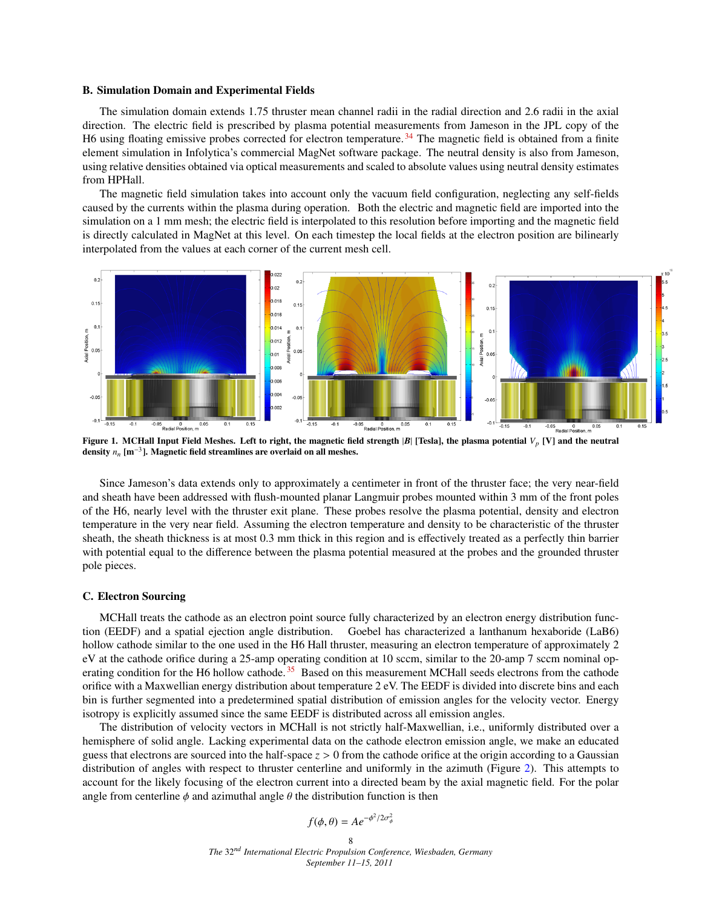#### B. Simulation Domain and Experimental Fields

The simulation domain extends 1.75 thruster mean channel radii in the radial direction and 2.6 radii in the axial direction. The electric field is prescribed by plasma potential measurements from Jameson in the JPL copy of the H6 using floating emissive probes corrected for electron temperature.<sup>[34](#page-13-9)</sup> The magnetic field is obtained from a finite element simulation in Infolytica's commercial MagNet software package. The neutral density is also from Jameson, using relative densities obtained via optical measurements and scaled to absolute values using neutral density estimates from HPHall.

The magnetic field simulation takes into account only the vacuum field configuration, neglecting any self-fields caused by the currents within the plasma during operation. Both the electric and magnetic field are imported into the simulation on a 1 mm mesh; the electric field is interpolated to this resolution before importing and the magnetic field is directly calculated in MagNet at this level. On each timestep the local fields at the electron position are bilinearly interpolated from the values at each corner of the current mesh cell.



Figure 1. MCHall Input Field Meshes. Left to right, the magnetic field strength |*B*| [Tesla], the plasma potential *V<sup>p</sup>* [V] and the neutral density  $n_n$  [m<sup>-3</sup>]. Magnetic field streamlines are overlaid on all meshes.

Since Jameson's data extends only to approximately a centimeter in front of the thruster face; the very near-field and sheath have been addressed with flush-mounted planar Langmuir probes mounted within 3 mm of the front poles of the H6, nearly level with the thruster exit plane. These probes resolve the plasma potential, density and electron temperature in the very near field. Assuming the electron temperature and density to be characteristic of the thruster sheath, the sheath thickness is at most 0.3 mm thick in this region and is effectively treated as a perfectly thin barrier with potential equal to the difference between the plasma potential measured at the probes and the grounded thruster pole pieces.

### C. Electron Sourcing

MCHall treats the cathode as an electron point source fully characterized by an electron energy distribution function (EEDF) and a spatial ejection angle distribution. Goebel has characterized a lanthanum hexaboride (LaB6) hollow cathode similar to the one used in the H6 Hall thruster, measuring an electron temperature of approximately 2 eV at the cathode orifice during a 25-amp operating condition at 10 sccm, similar to the 20-amp 7 sccm nominal op-erating condition for the H6 hollow cathode.<sup>[35](#page-13-10)</sup> Based on this measurement MCHall seeds electrons from the cathode orifice with a Maxwellian energy distribution about temperature 2 eV. The EEDF is divided into discrete bins and each bin is further segmented into a predetermined spatial distribution of emission angles for the velocity vector. Energy isotropy is explicitly assumed since the same EEDF is distributed across all emission angles.

The distribution of velocity vectors in MCHall is not strictly half-Maxwellian, i.e., uniformly distributed over a hemisphere of solid angle. Lacking experimental data on the cathode electron emission angle, we make an educated guess that electrons are sourced into the half-space *<sup>z</sup>* > 0 from the cathode orifice at the origin according to a Gaussian distribution of angles with respect to thruster centerline and uniformly in the azimuth (Figure [2\)](#page-8-0). This attempts to account for the likely focusing of the electron current into a directed beam by the axial magnetic field. For the polar angle from centerline  $\phi$  and azimuthal angle  $\theta$  the distribution function is then

$$
f(\phi,\theta) = Ae^{-\phi^2/2\sigma_{\phi}^2}
$$

8 *The* 32*nd International Electric Propulsion Conference, Wiesbaden, Germany September 11–15, 2011*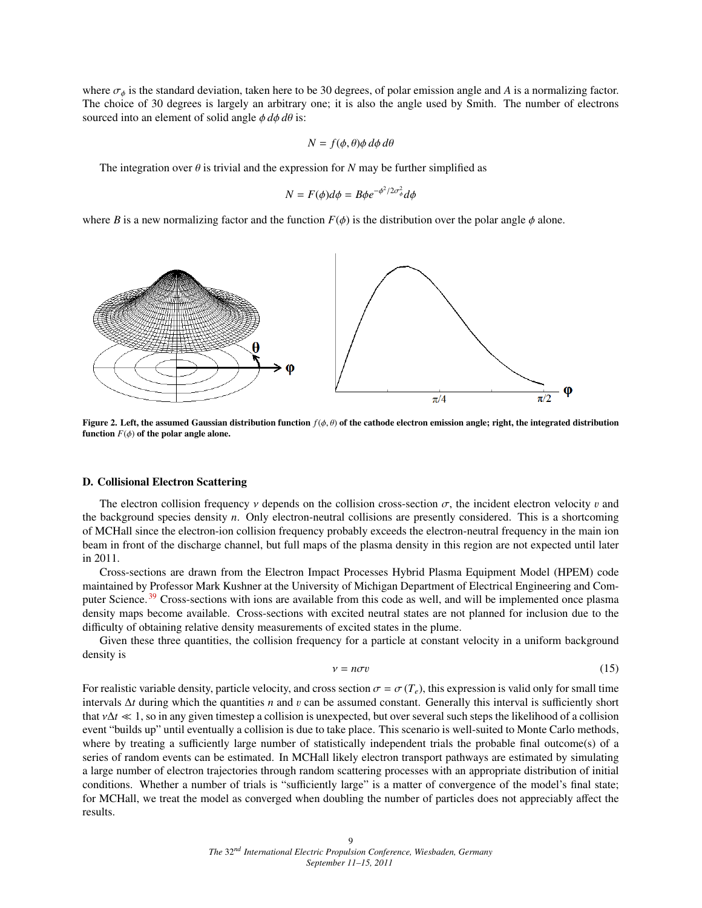where  $\sigma_{\phi}$  is the standard deviation, taken here to be 30 degrees, of polar emission angle and *A* is a normalizing factor. The choice of 30 degrees is largely an arbitrary one; it is also the angle used by Smith. The number of electrons sourced into an element of solid angle  $\phi \, d\phi \, d\theta$  is:

$$
N = f(\phi, \theta) \phi \, d\phi \, d\theta
$$

The integration over  $\theta$  is trivial and the expression for *N* may be further simplified as

$$
N = F(\phi)d\phi = B\phi e^{-\phi^2/2\sigma_{\phi}^2}d\phi
$$

where *B* is a new normalizing factor and the function  $F(\phi)$  is the distribution over the polar angle  $\phi$  alone.

<span id="page-8-0"></span>

Figure 2. Left, the assumed Gaussian distribution function *<sup>f</sup>*(φ, θ) of the cathode electron emission angle; right, the integrated distribution function  $F(\phi)$  of the polar angle alone.

#### D. Collisional Electron Scattering

The electron collision frequency  $\nu$  depends on the collision cross-section  $\sigma$ , the incident electron velocity  $\nu$  and the background species density *n*. Only electron-neutral collisions are presently considered. This is a shortcoming of MCHall since the electron-ion collision frequency probably exceeds the electron-neutral frequency in the main ion beam in front of the discharge channel, but full maps of the plasma density in this region are not expected until later in 2011.

Cross-sections are drawn from the Electron Impact Processes Hybrid Plasma Equipment Model (HPEM) code maintained by Professor Mark Kushner at the University of Michigan Department of Electrical Engineering and Com-puter Science.<sup>[39](#page-13-14)</sup> Cross-sections with ions are available from this code as well, and will be implemented once plasma density maps become available. Cross-sections with excited neutral states are not planned for inclusion due to the difficulty of obtaining relative density measurements of excited states in the plume.

<span id="page-8-1"></span>Given these three quantities, the collision frequency for a particle at constant velocity in a uniform background density is

$$
v = n\sigma v \tag{15}
$$

For realistic variable density, particle velocity, and cross section  $\sigma = \sigma(T_e)$ , this expression is valid only for small time intervals <sup>∆</sup>*<sup>t</sup>* during which the quantities *<sup>n</sup>* and v can be assumed constant. Generally this interval is sufficiently short that  $v\Delta t \ll 1$ , so in any given timestep a collision is unexpected, but over several such steps the likelihood of a collision event "builds up" until eventually a collision is due to take place. This scenario is well-suited to Monte Carlo methods, where by treating a sufficiently large number of statistically independent trials the probable final outcome(s) of a series of random events can be estimated. In MCHall likely electron transport pathways are estimated by simulating a large number of electron trajectories through random scattering processes with an appropriate distribution of initial conditions. Whether a number of trials is "sufficiently large" is a matter of convergence of the model's final state; for MCHall, we treat the model as converged when doubling the number of particles does not appreciably affect the results.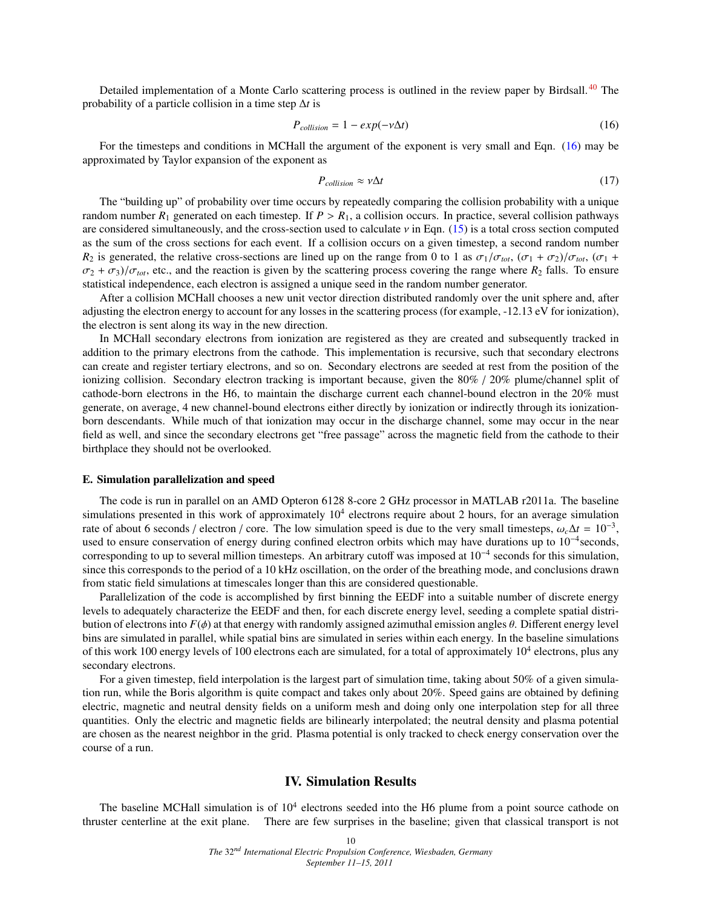Detailed implementation of a Monte Carlo scattering process is outlined in the review paper by Birdsall.<sup>[40](#page-13-15)</sup> The probability of a particle collision in a time step ∆*t* is

<span id="page-9-1"></span>
$$
P_{collision} = 1 - exp(-\nu \Delta t) \tag{16}
$$

For the timesteps and conditions in MCHall the argument of the exponent is very small and Eqn. [\(16\)](#page-9-1) may be approximated by Taylor expansion of the exponent as

$$
P_{collision} \approx \nu \Delta t \tag{17}
$$

The "building up" of probability over time occurs by repeatedly comparing the collision probability with a unique random number  $R_1$  generated on each timestep. If  $P > R_1$ , a collision occurs. In practice, several collision pathways are considered simultaneously, and the cross-section used to calculate  $\nu$  in Eqn. [\(15\)](#page-8-1) is a total cross section computed as the sum of the cross sections for each event. If a collision occurs on a given timestep, a second random number *R*<sub>2</sub> is generated, the relative cross-sections are lined up on the range from 0 to 1 as  $\sigma_1/\sigma_{tot}$ ,  $(\sigma_1 + \sigma_2)/\sigma_{tot}$ ,  $(\sigma_1 + \sigma_2)/\sigma_{tot}$  $\sigma_2 + \sigma_3$ )/ $\sigma_{tot}$ , etc., and the reaction is given by the scattering process covering the range where  $R_2$  falls. To ensure statistical independence, each electron is assigned a unique seed in the random number generator.

After a collision MCHall chooses a new unit vector direction distributed randomly over the unit sphere and, after adjusting the electron energy to account for any losses in the scattering process (for example, -12.13 eV for ionization), the electron is sent along its way in the new direction.

In MCHall secondary electrons from ionization are registered as they are created and subsequently tracked in addition to the primary electrons from the cathode. This implementation is recursive, such that secondary electrons can create and register tertiary electrons, and so on. Secondary electrons are seeded at rest from the position of the ionizing collision. Secondary electron tracking is important because, given the 80% / 20% plume/channel split of cathode-born electrons in the H6, to maintain the discharge current each channel-bound electron in the 20% must generate, on average, 4 new channel-bound electrons either directly by ionization or indirectly through its ionizationborn descendants. While much of that ionization may occur in the discharge channel, some may occur in the near field as well, and since the secondary electrons get "free passage" across the magnetic field from the cathode to their birthplace they should not be overlooked.

#### E. Simulation parallelization and speed

The code is run in parallel on an AMD Opteron 6128 8-core 2 GHz processor in MATLAB r2011a. The baseline simulations presented in this work of approximately  $10<sup>4</sup>$  electrons require about 2 hours, for an average simulation rate of about 6 seconds / electron / core. The low simulation speed is due to the very small timesteps,  $\omega_c \Delta t = 10^{-3}$ , used to ensure conservation of energy during confined electron orbits which may have durations up to used to ensure conservation of energy during confined electron orbits which may have durations up to 10<sup>-4</sup>seconds, corresponding to up to several million timesteps. An arbitrary cutoff was imposed at 10<sup>−</sup><sup>4</sup> seconds for this simulation, since this corresponds to the period of a 10 kHz oscillation, on the order of the breathing mode, and conclusions drawn from static field simulations at timescales longer than this are considered questionable.

Parallelization of the code is accomplished by first binning the EEDF into a suitable number of discrete energy levels to adequately characterize the EEDF and then, for each discrete energy level, seeding a complete spatial distribution of electrons into  $F(\phi)$  at that energy with randomly assigned azimuthal emission angles  $\theta$ . Different energy level bins are simulated in parallel, while spatial bins are simulated in series within each energy. In the baseline simulations of this work 100 energy levels of 100 electrons each are simulated, for a total of approximately  $10^4$  electrons, plus any secondary electrons.

For a given timestep, field interpolation is the largest part of simulation time, taking about 50% of a given simulation run, while the Boris algorithm is quite compact and takes only about 20%. Speed gains are obtained by defining electric, magnetic and neutral density fields on a uniform mesh and doing only one interpolation step for all three quantities. Only the electric and magnetic fields are bilinearly interpolated; the neutral density and plasma potential are chosen as the nearest neighbor in the grid. Plasma potential is only tracked to check energy conservation over the course of a run.

## IV. Simulation Results

<span id="page-9-0"></span>The baseline MCHall simulation is of  $10<sup>4</sup>$  electrons seeded into the H6 plume from a point source cathode on thruster centerline at the exit plane. There are few surprises in the baseline; given that classical transport is not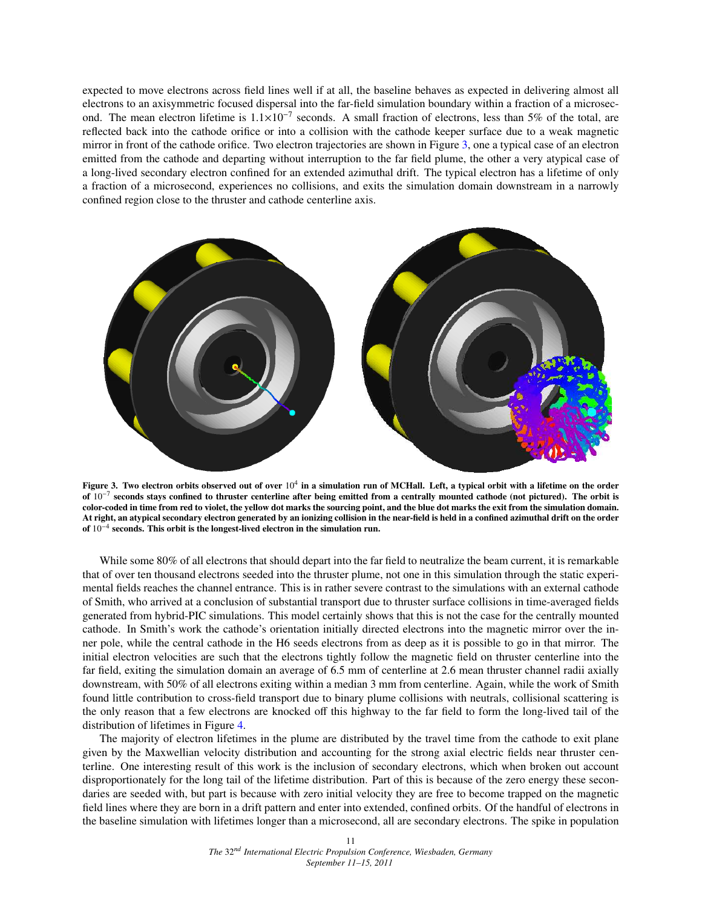expected to move electrons across field lines well if at all, the baseline behaves as expected in delivering almost all electrons to an axisymmetric focused dispersal into the far-field simulation boundary within a fraction of a microsecond. The mean electron lifetime is  $1.1 \times 10^{-7}$  seconds. A small fraction of electrons, less than 5% of the total, are reflected back into the cathode orifice or into a collision with the cathode keeper surface due to a weak magnetic mirror in front of the cathode orifice. Two electron trajectories are shown in Figure [3,](#page-10-0) one a typical case of an electron emitted from the cathode and departing without interruption to the far field plume, the other a very atypical case of a long-lived secondary electron confined for an extended azimuthal drift. The typical electron has a lifetime of only a fraction of a microsecond, experiences no collisions, and exits the simulation domain downstream in a narrowly confined region close to the thruster and cathode centerline axis.

<span id="page-10-0"></span>

Figure 3. Two electron orbits observed out of over  $10^4$  in a simulation run of MCHall. Left, a typical orbit with a lifetime on the order of  $10^{-7}$  seconds stays confined to thruster centerline after being emitted from a centrally mounted cathode (not pictured). The orbit is color-coded in time from red to violet, the yellow dot marks the sourcing point, and the blue dot marks the exit from the simulation domain. At right, an atypical secondary electron generated by an ionizing collision in the near-field is held in a confined azimuthal drift on the order of 10<sup>-4</sup> seconds. This orbit is the longest-lived electron in the simulation run.

While some 80% of all electrons that should depart into the far field to neutralize the beam current, it is remarkable that of over ten thousand electrons seeded into the thruster plume, not one in this simulation through the static experimental fields reaches the channel entrance. This is in rather severe contrast to the simulations with an external cathode of Smith, who arrived at a conclusion of substantial transport due to thruster surface collisions in time-averaged fields generated from hybrid-PIC simulations. This model certainly shows that this is not the case for the centrally mounted cathode. In Smith's work the cathode's orientation initially directed electrons into the magnetic mirror over the inner pole, while the central cathode in the H6 seeds electrons from as deep as it is possible to go in that mirror. The initial electron velocities are such that the electrons tightly follow the magnetic field on thruster centerline into the far field, exiting the simulation domain an average of 6.5 mm of centerline at 2.6 mean thruster channel radii axially downstream, with 50% of all electrons exiting within a median 3 mm from centerline. Again, while the work of Smith found little contribution to cross-field transport due to binary plume collisions with neutrals, collisional scattering is the only reason that a few electrons are knocked off this highway to the far field to form the long-lived tail of the distribution of lifetimes in Figure [4.](#page-11-0)

The majority of electron lifetimes in the plume are distributed by the travel time from the cathode to exit plane given by the Maxwellian velocity distribution and accounting for the strong axial electric fields near thruster centerline. One interesting result of this work is the inclusion of secondary electrons, which when broken out account disproportionately for the long tail of the lifetime distribution. Part of this is because of the zero energy these secondaries are seeded with, but part is because with zero initial velocity they are free to become trapped on the magnetic field lines where they are born in a drift pattern and enter into extended, confined orbits. Of the handful of electrons in the baseline simulation with lifetimes longer than a microsecond, all are secondary electrons. The spike in population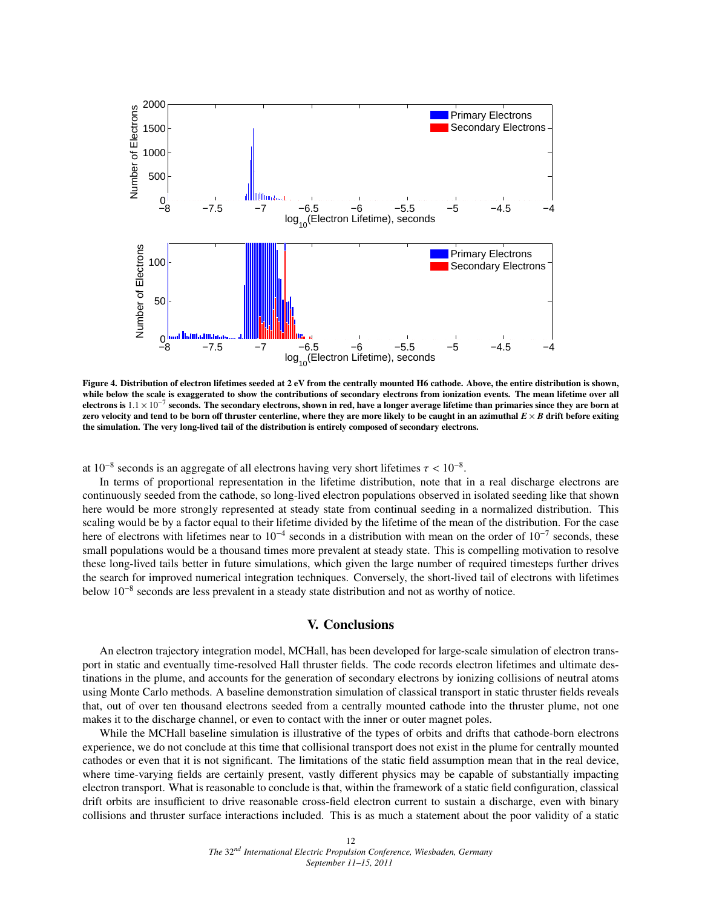<span id="page-11-0"></span>

Figure 4. Distribution of electron lifetimes seeded at 2 eV from the centrally mounted H6 cathode. Above, the entire distribution is shown, while below the scale is exaggerated to show the contributions of secondary electrons from ionization events. The mean lifetime over all electrons is  $1.1 \times 10^{-7}$  seconds. The secondary electrons, shown in red, have a longer average lifetime than primaries since they are born at a region of thruster conterline, where they are more likely to be caught in a zero velocity and tend to be born off thruster centerline, where they are more likely to be caught in an azimuthal  $E \times B$  drift before exiting the simulation. The very long-lived tail of the distribution is entirely composed of secondary electrons.

at  $10^{-8}$  seconds is an aggregate of all electrons having very short lifetimes  $\tau < 10^{-8}$ .<br>In terms of proportional representation in the lifetime distribution, note that

In terms of proportional representation in the lifetime distribution, note that in a real discharge electrons are continuously seeded from the cathode, so long-lived electron populations observed in isolated seeding like that shown here would be more strongly represented at steady state from continual seeding in a normalized distribution. This scaling would be by a factor equal to their lifetime divided by the lifetime of the mean of the distribution. For the case here of electrons with lifetimes near to  $10^{-4}$  seconds in a distribution with mean on the order of  $10^{-7}$  seconds, these small populations would be a thousand times more prevalent at steady state. This is compelling motivation to resolve these long-lived tails better in future simulations, which given the large number of required timesteps further drives the search for improved numerical integration techniques. Conversely, the short-lived tail of electrons with lifetimes below 10<sup>-8</sup> seconds are less prevalent in a steady state distribution and not as worthy of notice.

# V. Conclusions

An electron trajectory integration model, MCHall, has been developed for large-scale simulation of electron transport in static and eventually time-resolved Hall thruster fields. The code records electron lifetimes and ultimate destinations in the plume, and accounts for the generation of secondary electrons by ionizing collisions of neutral atoms using Monte Carlo methods. A baseline demonstration simulation of classical transport in static thruster fields reveals that, out of over ten thousand electrons seeded from a centrally mounted cathode into the thruster plume, not one makes it to the discharge channel, or even to contact with the inner or outer magnet poles.

While the MCHall baseline simulation is illustrative of the types of orbits and drifts that cathode-born electrons experience, we do not conclude at this time that collisional transport does not exist in the plume for centrally mounted cathodes or even that it is not significant. The limitations of the static field assumption mean that in the real device, where time-varying fields are certainly present, vastly different physics may be capable of substantially impacting electron transport. What is reasonable to conclude is that, within the framework of a static field configuration, classical drift orbits are insufficient to drive reasonable cross-field electron current to sustain a discharge, even with binary collisions and thruster surface interactions included. This is as much a statement about the poor validity of a static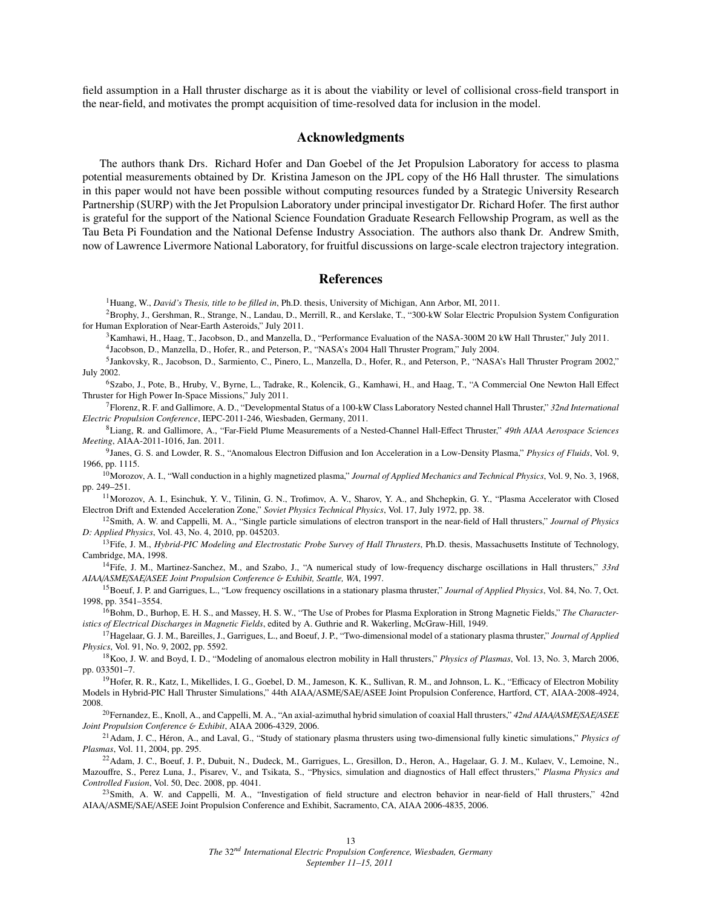field assumption in a Hall thruster discharge as it is about the viability or level of collisional cross-field transport in the near-field, and motivates the prompt acquisition of time-resolved data for inclusion in the model.

## Acknowledgments

The authors thank Drs. Richard Hofer and Dan Goebel of the Jet Propulsion Laboratory for access to plasma potential measurements obtained by Dr. Kristina Jameson on the JPL copy of the H6 Hall thruster. The simulations in this paper would not have been possible without computing resources funded by a Strategic University Research Partnership (SURP) with the Jet Propulsion Laboratory under principal investigator Dr. Richard Hofer. The first author is grateful for the support of the National Science Foundation Graduate Research Fellowship Program, as well as the Tau Beta Pi Foundation and the National Defense Industry Association. The authors also thank Dr. Andrew Smith, now of Lawrence Livermore National Laboratory, for fruitful discussions on large-scale electron trajectory integration.

#### References

<span id="page-12-1"></span><span id="page-12-0"></span><sup>1</sup>Huang, W., *David's Thesis, title to be filled in*, Ph.D. thesis, University of Michigan, Ann Arbor, MI, 2011.

<sup>2</sup> Brophy, J., Gershman, R., Strange, N., Landau, D., Merrill, R., and Kerslake, T., "300-kW Solar Electric Propulsion System Configuration for Human Exploration of Near-Earth Asteroids," July 2011.

<span id="page-12-2"></span><sup>3</sup>Kamhawi, H., Haag, T., Jacobson, D., and Manzella, D., "Performance Evaluation of the NASA-300M 20 kW Hall Thruster," July 2011.

4 Jacobson, D., Manzella, D., Hofer, R., and Peterson, P., "NASA's 2004 Hall Thruster Program," July 2004.

<sup>5</sup> Jankovsky, R., Jacobson, D., Sarmiento, C., Pinero, L., Manzella, D., Hofer, R., and Peterson, P., "NASA's Hall Thruster Program 2002," July 2002.

<span id="page-12-3"></span><sup>6</sup>Szabo, J., Pote, B., Hruby, V., Byrne, L., Tadrake, R., Kolencik, G., Kamhawi, H., and Haag, T., "A Commercial One Newton Hall Effect Thruster for High Power In-Space Missions," July 2011.

<span id="page-12-4"></span><sup>7</sup>Florenz, R. F. and Gallimore, A. D., "Developmental Status of a 100-kW Class Laboratory Nested channel Hall Thruster," *32nd International Electric Propulsion Conference*, IEPC-2011-246, Wiesbaden, Germany, 2011.

<span id="page-12-5"></span><sup>8</sup>Liang, R. and Gallimore, A., "Far-Field Plume Measurements of a Nested-Channel Hall-Effect Thruster," *49th AIAA Aerospace Sciences Meeting*, AIAA-2011-1016, Jan. 2011.

<span id="page-12-6"></span>9 Janes, G. S. and Lowder, R. S., "Anomalous Electron Diffusion and Ion Acceleration in a Low-Density Plasma," *Physics of Fluids*, Vol. 9, 1966, pp. 1115.

<span id="page-12-7"></span><sup>10</sup>Morozov, A. I., "Wall conduction in a highly magnetized plasma," *Journal of Applied Mechanics and Technical Physics*, Vol. 9, No. 3, 1968, pp. 249–251.

<span id="page-12-8"></span><sup>11</sup>Morozov, A. I., Esinchuk, Y. V., Tilinin, G. N., Trofimov, A. V., Sharov, Y. A., and Shchepkin, G. Y., "Plasma Accelerator with Closed Electron Drift and Extended Acceleration Zone," *Soviet Physics Technical Physics*, Vol. 17, July 1972, pp. 38.

<span id="page-12-9"></span><sup>12</sup>Smith, A. W. and Cappelli, M. A., "Single particle simulations of electron transport in the near-field of Hall thrusters," *Journal of Physics D: Applied Physics*, Vol. 43, No. 4, 2010, pp. 045203.

<span id="page-12-10"></span><sup>13</sup>Fife, J. M., *Hybrid-PIC Modeling and Electrostatic Probe Survey of Hall Thrusters*, Ph.D. thesis, Massachusetts Institute of Technology, Cambridge, MA, 1998.

<span id="page-12-11"></span><sup>14</sup>Fife, J. M., Martinez-Sanchez, M., and Szabo, J., "A numerical study of low-frequency discharge oscillations in Hall thrusters," *33rd AIAA*/*ASME*/*SAE*/*ASEE Joint Propulsion Conference* & *Exhibit, Seattle, WA*, 1997.

<span id="page-12-12"></span><sup>15</sup>Boeuf, J. P. and Garrigues, L., "Low frequency oscillations in a stationary plasma thruster," *Journal of Applied Physics*, Vol. 84, No. 7, Oct. 1998, pp. 3541–3554.

<span id="page-12-13"></span><sup>16</sup>Bohm, D., Burhop, E. H. S., and Massey, H. S. W., "The Use of Probes for Plasma Exploration in Strong Magnetic Fields," *The Characteristics of Electrical Discharges in Magnetic Fields*, edited by A. Guthrie and R. Wakerling, McGraw-Hill, 1949.

<span id="page-12-14"></span><sup>17</sup>Hagelaar, G. J. M., Bareilles, J., Garrigues, L., and Boeuf, J. P., "Two-dimensional model of a stationary plasma thruster," *Journal of Applied Physics*, Vol. 91, No. 9, 2002, pp. 5592.

<span id="page-12-15"></span><sup>18</sup>Koo, J. W. and Boyd, I. D., "Modeling of anomalous electron mobility in Hall thrusters," *Physics of Plasmas*, Vol. 13, No. 3, March 2006, pp. 033501–7.

<span id="page-12-16"></span><sup>19</sup>Hofer, R. R., Katz, I., Mikellides, I. G., Goebel, D. M., Jameson, K. K., Sullivan, R. M., and Johnson, L. K., "Efficacy of Electron Mobility Models in Hybrid-PIC Hall Thruster Simulations," 44th AIAA/ASME/SAE/ASEE Joint Propulsion Conference, Hartford, CT, AIAA-2008-4924, 2008.

<span id="page-12-17"></span><sup>20</sup>Fernandez, E., Knoll, A., and Cappelli, M. A., "An axial-azimuthal hybrid simulation of coaxial Hall thrusters," *42nd AIAA*/*ASME*/*SAE*/*ASEE Joint Propulsion Conference* & *Exhibit*, AIAA 2006-4329, 2006.

<span id="page-12-18"></span><sup>21</sup>Adam, J. C., Héron, A., and Laval, G., "Study of stationary plasma thrusters using two-dimensional fully kinetic simulations," *Physics of Plasmas*, Vol. 11, 2004, pp. 295.

<span id="page-12-19"></span><sup>22</sup>Adam, J. C., Boeuf, J. P., Dubuit, N., Dudeck, M., Garrigues, L., Gresillon, D., Heron, A., Hagelaar, G. J. M., Kulaev, V., Lemoine, N., Mazouffre, S., Perez Luna, J., Pisarev, V., and Tsikata, S., "Physics, simulation and diagnostics of Hall effect thrusters," *Plasma Physics and Controlled Fusion*, Vol. 50, Dec. 2008, pp. 4041.

<span id="page-12-20"></span> $^{23}$ Smith, A. W. and Cappelli, M. A., "Investigation of field structure and electron behavior in near-field of Hall thrusters," 42nd AIAA/ASME/SAE/ASEE Joint Propulsion Conference and Exhibit, Sacramento, CA, AIAA 2006-4835, 2006.